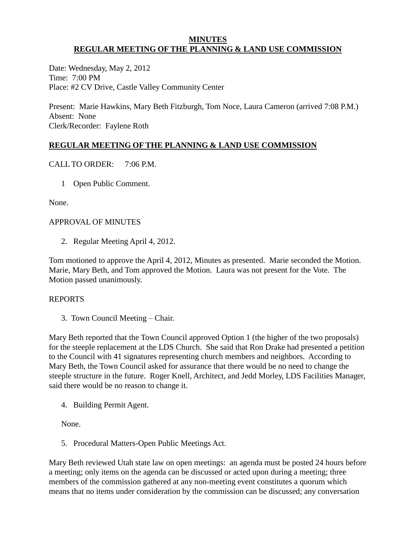#### **MINUTES REGULAR MEETING OF THE PLANNING & LAND USE COMMISSION**

Date: Wednesday, May 2, 2012 Time: 7:00 PM Place: #2 CV Drive, Castle Valley Community Center

Present: Marie Hawkins, Mary Beth Fitzburgh, Tom Noce, Laura Cameron (arrived 7:08 P.M.) Absent: None Clerk/Recorder: Faylene Roth

# **REGULAR MEETING OF THE PLANNING & LAND USE COMMISSION**

CALL TO ORDER: 7:06 P.M.

1 Open Public Comment.

None.

## APPROVAL OF MINUTES

2. Regular Meeting April 4, 2012.

Tom motioned to approve the April 4, 2012, Minutes as presented. Marie seconded the Motion. Marie, Mary Beth, and Tom approved the Motion. Laura was not present for the Vote. The Motion passed unanimously.

## REPORTS

3. Town Council Meeting – Chair.

Mary Beth reported that the Town Council approved Option 1 (the higher of the two proposals) for the steeple replacement at the LDS Church. She said that Ron Drake had presented a petition to the Council with 41 signatures representing church members and neighbors. According to Mary Beth, the Town Council asked for assurance that there would be no need to change the steeple structure in the future. Roger Knell, Architect, and Jedd Morley, LDS Facilities Manager, said there would be no reason to change it.

4. Building Permit Agent.

None.

5. Procedural Matters-Open Public Meetings Act.

Mary Beth reviewed Utah state law on open meetings: an agenda must be posted 24 hours before a meeting; only items on the agenda can be discussed or acted upon during a meeting; three members of the commission gathered at any non-meeting event constitutes a quorum which means that no items under consideration by the commission can be discussed; any conversation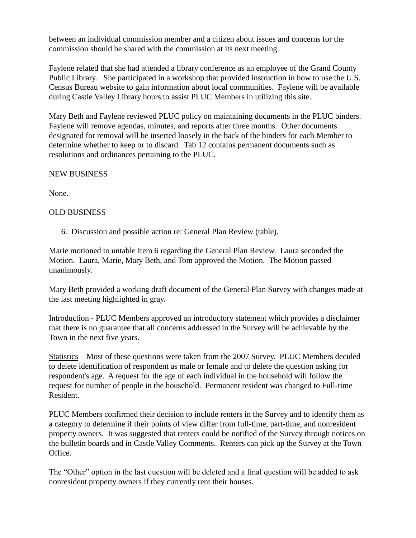between an individual commission member and a citizen about issues and concerns for the commission should be shared with the commission at its next meeting.

Faylene related that she had attended a library conference as an employee of the Grand County Public Library. She participated in a workshop that provided instruction in how to use the U.S. Census Bureau website to gain information about local communities. Faylene will be available during Castle Valley Library hours to assist PLUC Members in utilizing this site.

Mary Beth and Faylene reviewed PLUC policy on maintaining documents in the PLUC binders. Faylene will remove agendas, minutes, and reports after three months. Other documents designated for removal will be inserted loosely in the back of the binders for each Member to determine whether to keep or to discard. Tab 12 contains permanent documents such as resolutions and ordinances pertaining to the PLUC.

### NEW BUSINESS

None.

## OLD BUSINESS

6. Discussion and possible action re: General Plan Review (table).

Marie motioned to untable Item 6 regarding the General Plan Review. Laura seconded the Motion. Laura, Marie, Mary Beth, and Tom approved the Motion. The Motion passed unanimously.

Mary Beth provided a working draft document of the General Plan Survey with changes made at the last meeting highlighted in gray.

Introduction - PLUC Members approved an introductory statement which provides a disclaimer that there is no guarantee that all concerns addressed in the Survey will be achievable by the Town in the next five years.

Statistics – Most of these questions were taken from the 2007 Survey. PLUC Members decided to delete identification of respondent as male or female and to delete the question asking for respondent's age. A request for the age of each individual in the household will follow the request for number of people in the household. Permanent resident was changed to Full-time Resident.

PLUC Members confirmed their decision to include renters in the Survey and to identify them as a category to determine if their points of view differ from full-time, part-time, and nonresident property owners. It was suggested that renters could be notified of the Survey through notices on the bulletin boards and in Castle Valley Comments. Renters can pick up the Survey at the Town Office.

The "Other" option in the last question will be deleted and a final question will be added to ask nonresident property owners if they currently rent their houses.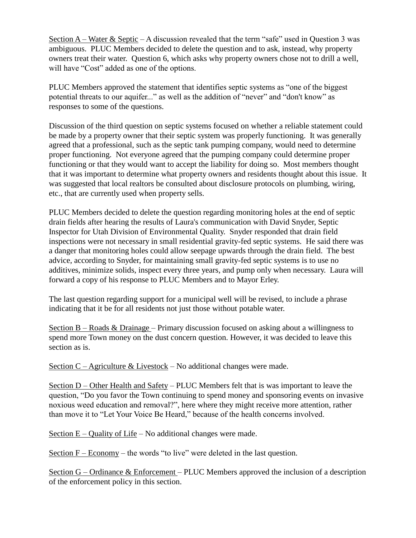Section  $A$  – Water & Septic – A discussion revealed that the term "safe" used in Question 3 was ambiguous. PLUC Members decided to delete the question and to ask, instead, why property owners treat their water. Question 6, which asks why property owners chose not to drill a well, will have "Cost" added as one of the options.

PLUC Members approved the statement that identifies septic systems as "one of the biggest potential threats to our aquifer..." as well as the addition of "never" and "don't know" as responses to some of the questions.

Discussion of the third question on septic systems focused on whether a reliable statement could be made by a property owner that their septic system was properly functioning. It was generally agreed that a professional, such as the septic tank pumping company, would need to determine proper functioning. Not everyone agreed that the pumping company could determine proper functioning or that they would want to accept the liability for doing so. Most members thought that it was important to determine what property owners and residents thought about this issue. It was suggested that local realtors be consulted about disclosure protocols on plumbing, wiring, etc., that are currently used when property sells.

PLUC Members decided to delete the question regarding monitoring holes at the end of septic drain fields after hearing the results of Laura's communication with David Snyder, Septic Inspector for Utah Division of Environmental Quality. Snyder responded that drain field inspections were not necessary in small residential gravity-fed septic systems. He said there was a danger that monitoring holes could allow seepage upwards through the drain field. The best advice, according to Snyder, for maintaining small gravity-fed septic systems is to use no additives, minimize solids, inspect every three years, and pump only when necessary. Laura will forward a copy of his response to PLUC Members and to Mayor Erley.

The last question regarding support for a municipal well will be revised, to include a phrase indicating that it be for all residents not just those without potable water.

Section  $B - R$ oads & Drainage – Primary discussion focused on asking about a willingness to spend more Town money on the dust concern question. However, it was decided to leave this section as is.

Section  $C$  – Agriculture & Livestock – No additional changes were made.

Section D – Other Health and Safety – PLUC Members felt that is was important to leave the question, "Do you favor the Town continuing to spend money and sponsoring events on invasive noxious weed education and removal?", here where they might receive more attention, rather than move it to "Let Your Voice Be Heard," because of the health concerns involved.

Section  $E -$ Quality of Life – No additional changes were made.

Section F – Economy – the words "to live" were deleted in the last question.

Section G – Ordinance & Enforcement – PLUC Members approved the inclusion of a description of the enforcement policy in this section.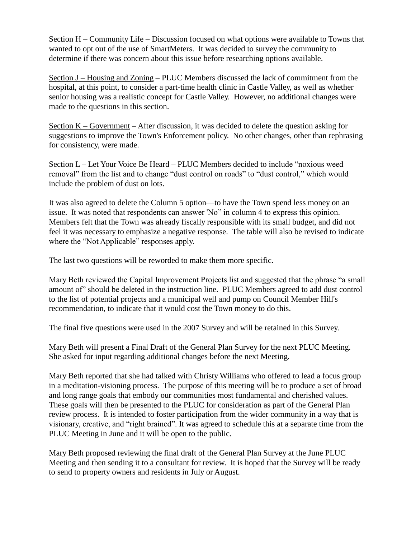Section H – Community Life – Discussion focused on what options were available to Towns that wanted to opt out of the use of SmartMeters. It was decided to survey the community to determine if there was concern about this issue before researching options available.

Section J – Housing and Zoning – PLUC Members discussed the lack of commitment from the hospital, at this point, to consider a part-time health clinic in Castle Valley, as well as whether senior housing was a realistic concept for Castle Valley. However, no additional changes were made to the questions in this section.

Section K – Government – After discussion, it was decided to delete the question asking for suggestions to improve the Town's Enforcement policy. No other changes, other than rephrasing for consistency, were made.

Section L – Let Your Voice Be Heard – PLUC Members decided to include "noxious weed removal" from the list and to change "dust control on roads" to "dust control," which would include the problem of dust on lots.

It was also agreed to delete the Column 5 option—to have the Town spend less money on an issue. It was noted that respondents can answer 'No" in column 4 to express this opinion. Members felt that the Town was already fiscally responsible with its small budget, and did not feel it was necessary to emphasize a negative response. The table will also be revised to indicate where the "Not Applicable" responses apply.

The last two questions will be reworded to make them more specific.

Mary Beth reviewed the Capital Improvement Projects list and suggested that the phrase "a small amount of" should be deleted in the instruction line. PLUC Members agreed to add dust control to the list of potential projects and a municipal well and pump on Council Member Hill's recommendation, to indicate that it would cost the Town money to do this.

The final five questions were used in the 2007 Survey and will be retained in this Survey.

Mary Beth will present a Final Draft of the General Plan Survey for the next PLUC Meeting. She asked for input regarding additional changes before the next Meeting.

Mary Beth reported that she had talked with Christy Williams who offered to lead a focus group in a meditation-visioning process. The purpose of this meeting will be to produce a set of broad and long range goals that embody our communities most fundamental and cherished values. These goals will then be presented to the PLUC for consideration as part of the General Plan review process. It is intended to foster participation from the wider community in a way that is visionary, creative, and "right brained". It was agreed to schedule this at a separate time from the PLUC Meeting in June and it will be open to the public.

Mary Beth proposed reviewing the final draft of the General Plan Survey at the June PLUC Meeting and then sending it to a consultant for review. It is hoped that the Survey will be ready to send to property owners and residents in July or August.